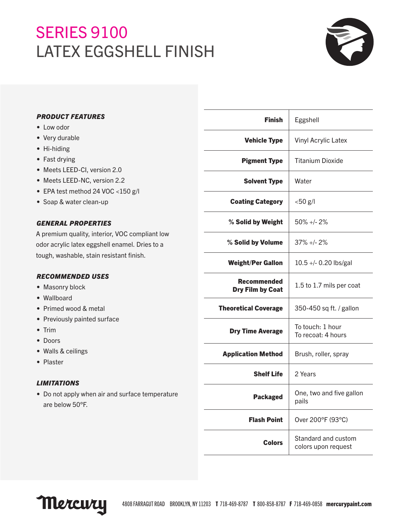# **SERIES 9100** LATEX EGGSHELL FINISH



| <b>PRODUCT FEATURES</b> |
|-------------------------|
|-------------------------|

- Low odor
- Very durable
- Hi-hiding
- Fast drying
- Meets LEED-CI, version 2.0
- Meets LEED-NC, version 2.2
- EPA test method 24 VOC <150 g/l
- Soap & water clean-up

# *GENERAL PROPERTIES*

A premium quality, interior, VOC compliant low odor acrylic latex eggshell enamel. Dries to a tough, washable, stain resistant finish.

# *RECOMMENDED USES*

- Masonry block
- Wallboard
- Primed wood & metal
- Previously painted surface
- Trim
- Doors
- Walls & ceilings
- Plaster

# *LIMITATIONS*

• Do not apply when air and surface temperature are below 50°F.

| <b>Finish</b>                                 | Eggshell                                   |
|-----------------------------------------------|--------------------------------------------|
| <b>Vehicle Type</b>                           | <b>Vinyl Acrylic Latex</b>                 |
| <b>Pigment Type</b>                           | <b>Titanium Dioxide</b>                    |
| <b>Solvent Type</b>                           | Water                                      |
| <b>Coating Category</b>                       | $<$ 50 $g$ /l                              |
| % Solid by Weight                             | $50\% + 2\%$                               |
| % Solid by Volume                             | $37\% + 2\%$                               |
| <b>Weight/Per Gallon</b>                      | 10.5 +/- 0.20 lbs/gal                      |
| <b>Recommended</b><br><b>Dry Film by Coat</b> | 1.5 to 1.7 mils per coat                   |
| <b>Theoretical Coverage</b>                   | 350-450 sq ft. / gallon                    |
| <b>Dry Time Average</b>                       | To touch: 1 hour<br>To recoat: 4 hours     |
| <b>Application Method</b>                     | Brush, roller, spray                       |
| <b>Shelf Life</b>                             | 2 Years                                    |
| <b>Packaged</b>                               | One, two and five gallon<br>pails          |
| <b>Flash Point</b>                            | Over 200°F (93°C)                          |
| <b>Colors</b>                                 | Standard and custom<br>colors upon request |
|                                               |                                            |